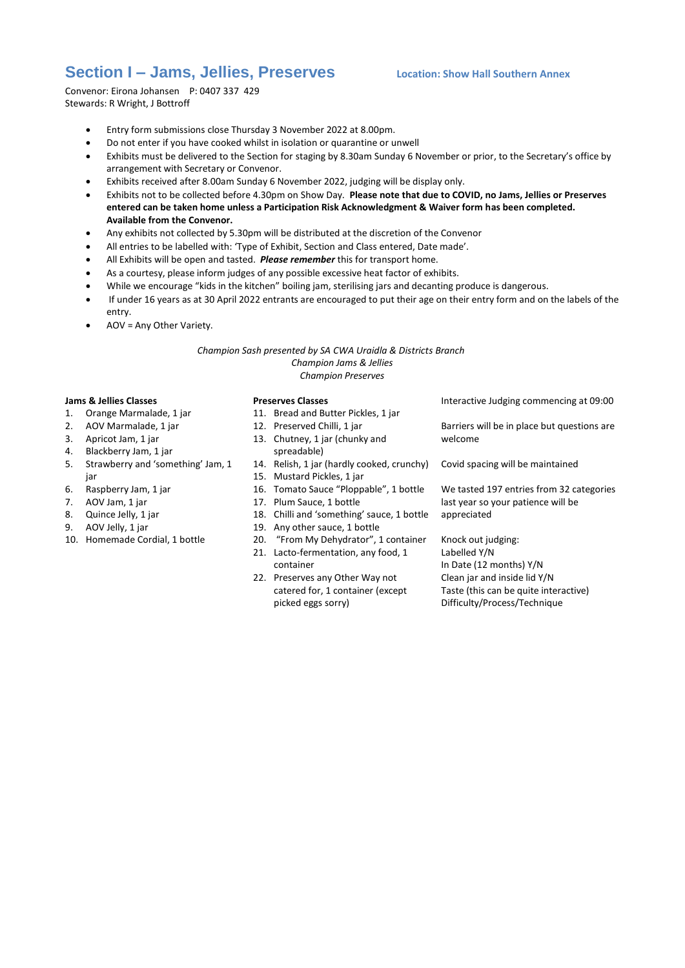## **Section I – Jams, Jellies, Preserves Location: Show Hall Southern Annex**

Convenor: Eirona Johansen P: 0407 337 429 Stewards: R Wright, J Bottroff

- Entry form submissions close Thursday 3 November 2022 at 8.00pm.
- Do not enter if you have cooked whilst in isolation or quarantine or unwell
- Exhibits must be delivered to the Section for staging by 8.30am Sunday 6 November or prior, to the Secretary's office by arrangement with Secretary or Convenor.
- Exhibits received after 8.00am Sunday 6 November 2022, judging will be display only.
- Exhibits not to be collected before 4.30pm on Show Day. **Please note that due to COVID, no Jams, Jellies or Preserves entered can be taken home unless a Participation Risk Acknowledgment & Waiver form has been completed. Available from the Convenor.**
- Any exhibits not collected by 5.30pm will be distributed at the discretion of the Convenor
- All entries to be labelled with: 'Type of Exhibit, Section and Class entered, Date made'.
- All Exhibits will be open and tasted. *Please remember* this for transport home.
- As a courtesy, please inform judges of any possible excessive heat factor of exhibits.
- While we encourage "kids in the kitchen" boiling jam, sterilising jars and decanting produce is dangerous.
- If under 16 years as at 30 April 2022 entrants are encouraged to put their age on their entry form and on the labels of the entry.
- AOV = Any Other Variety.

*Champion Sash presented by SA CWA Uraidla & Districts Branch Champion Jams & Jellies Champion Preserves*

## **Jams & Jellies Classes**

- 1. Orange Marmalade, 1 jar
- 2. AOV Marmalade, 1 jar
- 3. Apricot Jam, 1 jar
- 4. Blackberry Jam, 1 jar
- 5. Strawberry and 'something' Jam, 1 iar
- 6. Raspberry Jam, 1 jar
- 7. AOV Jam, 1 jar
- 8. Quince Jelly, 1 jar
- 9. AOV Jelly, 1 jar
- 10. Homemade Cordial, 1 bottle

## **Preserves Classes**

- 11. Bread and Butter Pickles, 1 jar
- 12. Preserved Chilli, 1 jar
- 13. Chutney, 1 jar (chunky and
- spreadable) 14. Relish, 1 jar (hardly cooked, crunchy)
- 15. Mustard Pickles, 1 jar
- 16. Tomato Sauce "Ploppable", 1 bottle
- 
- 17. Plum Sauce, 1 bottle
- 18. Chilli and 'something' sauce, 1 bottle
- 19. Any other sauce, 1 bottle
- 20. "From My Dehydrator", 1 container 21. Lacto-fermentation, any food, 1
	- container
- 22. Preserves any Other Way not catered for, 1 container (except picked eggs sorry)

Interactive Judging commencing at 09:00

Barriers will be in place but questions are welcome

Covid spacing will be maintained

We tasted 197 entries from 32 categories last year so your patience will be appreciated

Knock out judging: Labelled Y/N In Date (12 months) Y/N Clean jar and inside lid Y/N Taste (this can be quite interactive) Difficulty/Process/Technique